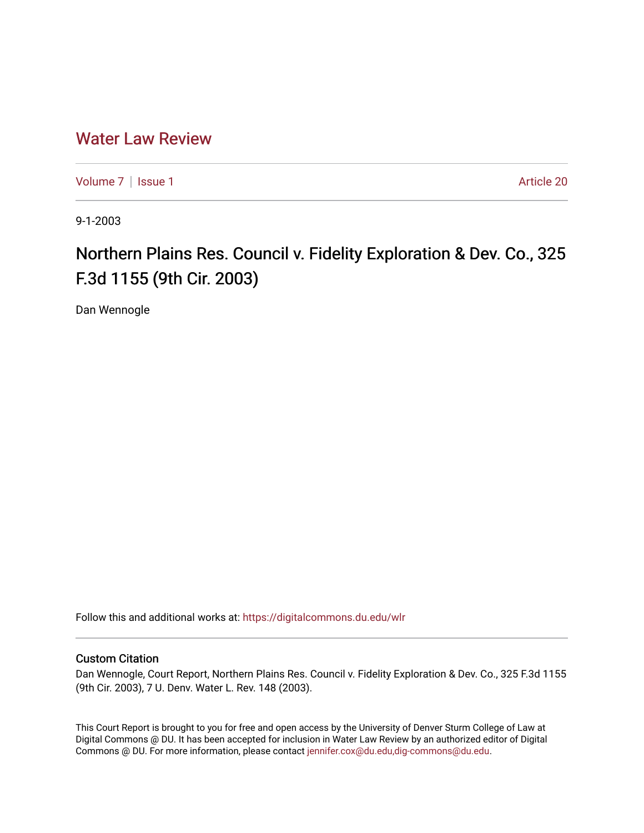## [Water Law Review](https://digitalcommons.du.edu/wlr)

[Volume 7](https://digitalcommons.du.edu/wlr/vol7) | [Issue 1](https://digitalcommons.du.edu/wlr/vol7/iss1) Article 20

9-1-2003

## Northern Plains Res. Council v. Fidelity Exploration & Dev. Co., 325 F.3d 1155 (9th Cir. 2003)

Dan Wennogle

Follow this and additional works at: [https://digitalcommons.du.edu/wlr](https://digitalcommons.du.edu/wlr?utm_source=digitalcommons.du.edu%2Fwlr%2Fvol7%2Fiss1%2F20&utm_medium=PDF&utm_campaign=PDFCoverPages) 

## Custom Citation

Dan Wennogle, Court Report, Northern Plains Res. Council v. Fidelity Exploration & Dev. Co., 325 F.3d 1155 (9th Cir. 2003), 7 U. Denv. Water L. Rev. 148 (2003).

This Court Report is brought to you for free and open access by the University of Denver Sturm College of Law at Digital Commons @ DU. It has been accepted for inclusion in Water Law Review by an authorized editor of Digital Commons @ DU. For more information, please contact [jennifer.cox@du.edu,dig-commons@du.edu.](mailto:jennifer.cox@du.edu,dig-commons@du.edu)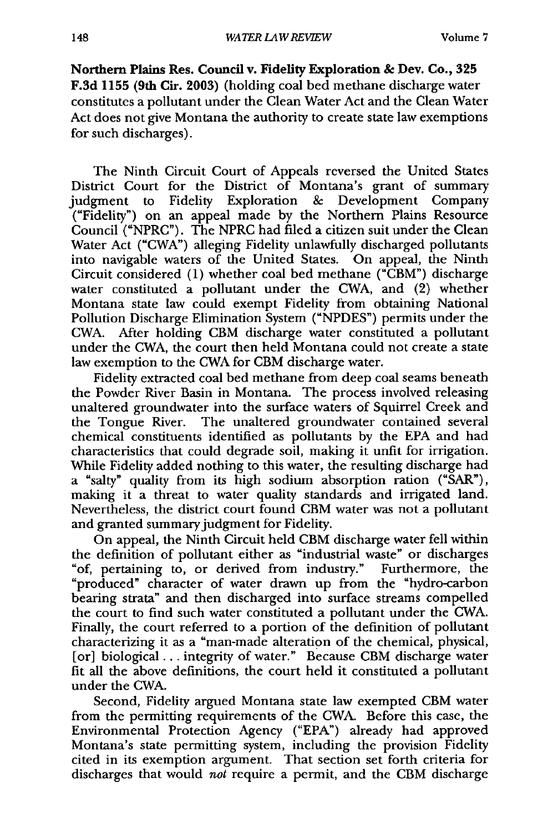**Northern Plains Res. Council v. Fidelity Exploration & Dev. Co., 325 F.3d 1155 (9th Cir. 2003)** (holding coal bed methane discharge water constitutes a pollutant under the Clean Water Act and the Clean Water Act does not give Montana the authority to create state law exemptions for such discharges).

The Ninth Circuit Court of Appeals reversed the United States District Court for the District of Montana's grant of summary judgment to Fidelity Exploration & Development Company ("Fidelity") on an appeal made by the Northern Plains Resource Council ("NPRC"). The NPRC had filed a citizen suit under the Clean Water Act ("CWA") alleging Fidelity unlawfully discharged pollutants into navigable waters of the United States. On appeal, the Ninth Circuit considered (1) whether coal bed methane ("CBM") discharge water constituted a pollutant under the CWA, and (2) whether Montana state law could exempt Fidelity from obtaining National Pollution Discharge Elimination System ("NPDES") permits under the CWA. After holding CBM discharge water constituted a pollutant under the CWA, the court then held Montana could not create a state law exemption to the CWA for CBM discharge water.

Fidelity extracted coal bed methane from deep coal seams beneath the Powder River Basin in Montana. The process involved releasing unaltered groundwater into the surface waters of Squirrel Creek and the Tongue River. The unaltered groundwater contained several chemical constituents identified as pollutants by the EPA and had characteristics that could degrade soil, making it unfit for irrigation. While Fidelity added nothing to this water, the resulting discharge had a "salty" quality from its high sodium absorption ration ("SAR"), making it a threat to water quality standards and irrigated land. Nevertheless, the district court found CBM water was not a pollutant and granted summary judgment for Fidelity.

On appeal, the Ninth Circuit held CBM discharge water fell within the definition of pollutant either as "industrial waste" or discharges "of, pertaining to, or derived from industry." Furthermore, the "produced" character of water drawn up from the "hydro-carbon bearing strata" and then discharged into surface streams compelled the court to find such water constituted a pollutant under the CWA. Finally, the court referred to a portion of the definition of pollutant characterizing it as a "man-made alteration of the chemical, physical, [or] biological... integrity of water." Because CBM discharge water fit all the above definitions, the court held it constituted a pollutant under the CWA.

Second, Fidelity argued Montana state law exempted CBM water from the permitting requirements of the CWA. Before this case, the Environmental Protection Agency ("EPA") already had approved Montana's state permitting system, including the provision Fidelity cited in its exemption argument. That section set forth criteria for discharges that would *not* require a permit, and the CBM discharge